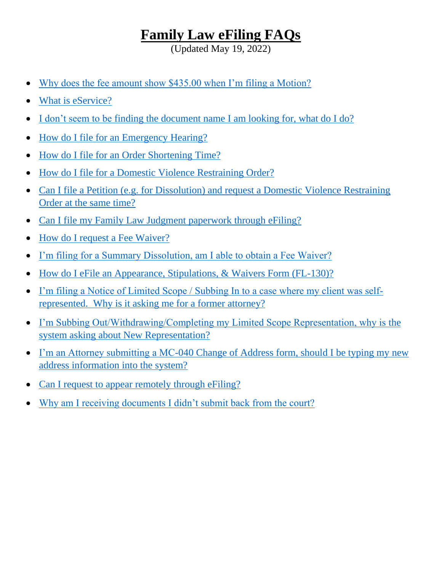# **Family Law eFiling FAQs**

(Updated May 19, 2022)

- [Why does the fee amount show \\$435.00 when I'm filing a Motion?](#page-1-0)
- [What is eService?](#page-1-1)
- [I don't seem to be finding the document name I am looking for, what do I do?](#page-1-2)
- [How do I file for an Emergency Hearing?](#page-2-0)
- [How do I file for an Order Shortening Time?](#page-2-1)
- How do I file for [a Domestic Violence Restraining Order?](#page-3-0)
- Can I file a Petition (e.g. for Dissolution) and request a Domestic Violence Restraining [Order at the same time?](#page-3-1)
- [Can I file my Family Law Judgment paperwork through eFiling?](#page-4-0)
- [How do I request a Fee Waiver?](#page-4-1)
- [I'm filing for a Summary Dissolution, am I able to obtain a Fee Waiver?](#page-4-2)
- How do I eFile [an Appearance, Stipulations, & Waivers Form \(FL-130\)?](#page-5-0)
- [I'm filing a Notice of Limited Scope / Subbing In to a case where my client was self](#page-5-1)[represented. Why is it asking me for a former attorney?](#page-5-1)
- [I'm Subbing Out/Withdrawing/Completing my Limited Scope Representation, why is](#page-5-2) the [system asking about New Representation?](#page-5-2)
- I'm an Attorney submitting a MC-040 Change of Address form, should I be typing my new [address information into the system?](#page-5-3)
- [Can I request to appear remotely through eFiling?](#page-6-0)
- [Why am I receiving documents I didn't submit back from the court?](#page-6-1)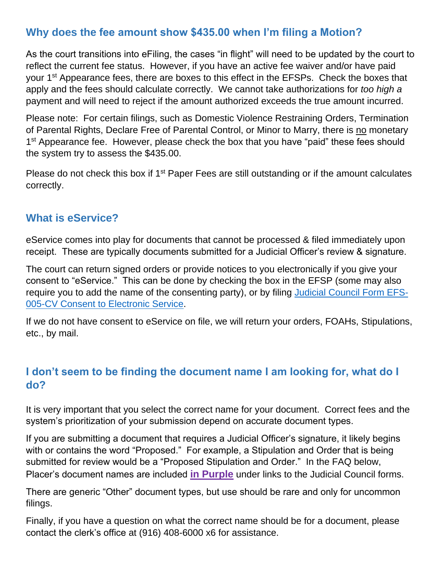### <span id="page-1-0"></span>**Why does the fee amount show \$435.00 when I'm filing a Motion?**

As the court transitions into eFiling, the cases "in flight" will need to be updated by the court to reflect the current fee status. However, if you have an active fee waiver and/or have paid your 1<sup>st</sup> Appearance fees, there are boxes to this effect in the EFSPs. Check the boxes that apply and the fees should calculate correctly. We cannot take authorizations for *too high a* payment and will need to reject if the amount authorized exceeds the true amount incurred.

Please note: For certain filings, such as Domestic Violence Restraining Orders, Termination of Parental Rights, Declare Free of Parental Control, or Minor to Marry, there is no monetary 1<sup>st</sup> Appearance fee. However, please check the box that you have "paid" these fees should the system try to assess the \$435.00.

Please do not check this box if 1<sup>st</sup> Paper Fees are still outstanding or if the amount calculates correctly.

#### <span id="page-1-1"></span>**What is eService?**

eService comes into play for documents that cannot be processed & filed immediately upon receipt. These are typically documents submitted for a Judicial Officer's review & signature.

The court can return signed orders or provide notices to you electronically if you give your consent to "eService." This can be done by checking the box in the EFSP (some may also require you to add the name of the consenting party), or by filing [Judicial Council Form EFS-](https://selfhelp.courts.ca.gov/jcc-form/EFS-005-CV)[005-CV Consent to Electronic Service.](https://selfhelp.courts.ca.gov/jcc-form/EFS-005-CV)

If we do not have consent to eService on file, we will return your orders, FOAHs, Stipulations, etc., by mail.

# <span id="page-1-2"></span>**I don't seem to be finding the document name I am looking for, what do I do?**

It is very important that you select the correct name for your document. Correct fees and the system's prioritization of your submission depend on accurate document types.

If you are submitting a document that requires a Judicial Officer's signature, it likely begins with or contains the word "Proposed." For example, a Stipulation and Order that is being submitted for review would be a "Proposed Stipulation and Order." In the FAQ below, Placer's document names are included **in Purple** under links to the Judicial Council forms.

There are generic "Other" document types, but use should be rare and only for uncommon filings.

Finally, if you have a question on what the correct name should be for a document, please contact the clerk's office at (916) 408-6000 x6 for assistance.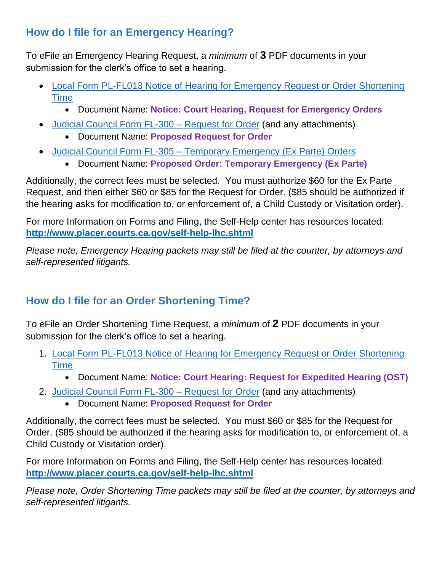# <span id="page-2-0"></span>**How do I file for an Emergency Hearing?**

To eFile an Emergency Hearing Request, a *minimum* of **3** PDF documents in your submission for the clerk's office to set a hearing.

- [Local Form PL-FL013 Notice of Hearing for Emergency Request or Order Shortening](http://www.placer.courts.ca.gov/forms/family/PL-FL013.pdf)  [Time](http://www.placer.courts.ca.gov/forms/family/PL-FL013.pdf)
	- Document Name: **Notice: Court Hearing, Request for Emergency Orders**
- Judicial Council Form FL-300 [Request for Order](https://www.courts.ca.gov/documents/fl300.pdf) (and any attachments)
	- Document Name: **Proposed Request for Order**
- Judicial Council Form FL-305 [Temporary Emergency \(Ex Parte\) Orders](https://www.courts.ca.gov/documents/fl305.pdf)
	- Document Name: **Proposed Order: Temporary Emergency (Ex Parte)**

Additionally, the correct fees must be selected. You must authorize \$60 for the Ex Parte Request, and then either \$60 or \$85 for the Request for Order. (\$85 should be authorized if the hearing asks for modification to, or enforcement of, a Child Custody or Visitation order).

For more Information on Forms and Filing, the Self-Help center has resources located: **<http://www.placer.courts.ca.gov/self-help-lhc.shtml>**

*Please note, Emergency Hearing packets may still be filed at the counter, by attorneys and self-represented litigants.* 

# <span id="page-2-1"></span>**How do I file for an Order Shortening Time?**

To eFile an Order Shortening Time Request, a *minimum* of **2** PDF documents in your submission for the clerk's office to set a hearing.

- 1. [Local Form PL-FL013 Notice of Hearing for Emergency Request or Order Shortening](http://www.placer.courts.ca.gov/forms/family/PL-FL013.pdf)  [Time](http://www.placer.courts.ca.gov/forms/family/PL-FL013.pdf)
	- Document Name: **Notice: Court Hearing: Request for Expedited Hearing (OST)**
- 2. Judicial Council Form FL-300 [Request for Order](https://www.courts.ca.gov/documents/fl300.pdf) (and any attachments)
	- Document Name: **Proposed Request for Order**

Additionally, the correct fees must be selected. You must \$60 or \$85 for the Request for Order. (\$85 should be authorized if the hearing asks for modification to, or enforcement of, a Child Custody or Visitation order).

For more Information on Forms and Filing, the Self-Help center has resources located: **<http://www.placer.courts.ca.gov/self-help-lhc.shtml>**

*Please note, Order Shortening Time packets may still be filed at the counter, by attorneys and self-represented litigants.*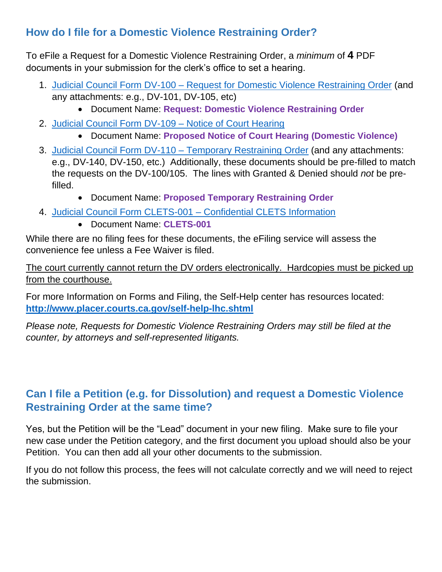# <span id="page-3-0"></span>**How do I file for a Domestic Violence Restraining Order?**

To eFile a Request for a Domestic Violence Restraining Order, a *minimum* of **4** PDF documents in your submission for the clerk's office to set a hearing.

- 1. Judicial Council Form DV-100 [Request for Domestic Violence Restraining Order](https://www.courts.ca.gov/documents/dv100.pdf) (and any attachments: e.g., DV-101, DV-105, etc)
	- Document Name: **Request: Domestic Violence Restraining Order**
- 2. Judicial Council Form DV-109 [Notice of Court Hearing](https://www.courts.ca.gov/documents/dv109.pdf)
	- Document Name: **Proposed Notice of Court Hearing (Domestic Violence)**
- 3. [Judicial Council Form DV-110 –](https://www.courts.ca.gov/documents/dv110.pdf) Temporary Restraining Order (and any attachments: e.g., DV-140, DV-150, etc.) Additionally, these documents should be pre-filled to match the requests on the DV-100/105. The lines with Granted & Denied should *not* be prefilled.
	- Document Name: **Proposed Temporary Restraining Order**
- 4. [Judicial Council Form CLETS-001 –](https://www.courts.ca.gov/documents/clets001.pdf) Confidential CLETS Information
	- Document Name: **CLETS-001**

While there are no filing fees for these documents, the eFiling service will assess the convenience fee unless a Fee Waiver is filed.

The court currently cannot return the DV orders electronically. Hardcopies must be picked up from the courthouse.

For more Information on Forms and Filing, the Self-Help center has resources located: **<http://www.placer.courts.ca.gov/self-help-lhc.shtml>**

*Please note, Requests for Domestic Violence Restraining Orders may still be filed at the counter, by attorneys and self-represented litigants.* 

# <span id="page-3-1"></span>**Can I file a Petition (e.g. for Dissolution) and request a Domestic Violence Restraining Order at the same time?**

Yes, but the Petition will be the "Lead" document in your new filing. Make sure to file your new case under the Petition category, and the first document you upload should also be your Petition. You can then add all your other documents to the submission.

If you do not follow this process, the fees will not calculate correctly and we will need to reject the submission.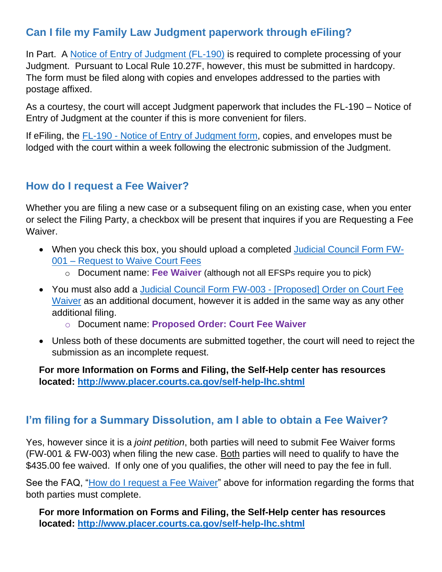# <span id="page-4-0"></span>**Can I file my Family Law Judgment paperwork through eFiling?**

In Part. A [Notice of Entry of Judgment \(FL-190\)](https://www.courts.ca.gov/documents/fl190.pdf) is required to complete processing of your Judgment. Pursuant to Local Rule 10.27F, however, this must be submitted in hardcopy. The form must be filed along with copies and envelopes addressed to the parties with postage affixed.

As a courtesy, the court will accept Judgment paperwork that includes the FL-190 – Notice of Entry of Judgment at the counter if this is more convenient for filers.

If eFiling, the FL-190 - [Notice of Entry of Judgment form,](https://www.courts.ca.gov/documents/fl190.pdf) copies, and envelopes must be lodged with the court within a week following the electronic submission of the Judgment.

### <span id="page-4-1"></span>**How do I request a Fee Waiver?**

Whether you are filing a new case or a subsequent filing on an existing case, when you enter or select the Filing Party, a checkbox will be present that inquires if you are Requesting a Fee Waiver.

- When you check this box, you should upload a completed [Judicial Council Form FW-](https://www.courts.ca.gov/documents/fw001.pdf)001 – [Request to Waive Court Fees](https://www.courts.ca.gov/documents/fw001.pdf) 
	- o Document name: **Fee Waiver** (although not all EFSPs require you to pick)
- You must also add a [Judicial Council Form FW-003 -](https://www.courts.ca.gov/documents/fw003.pdf) [Proposed] Order on Court Fee [Waiver](https://www.courts.ca.gov/documents/fw003.pdf) as an additional document, however it is added in the same way as any other additional filing.
	- o Document name: **Proposed Order: Court Fee Waiver**
- Unless both of these documents are submitted together, the court will need to reject the submission as an incomplete request.

**For more Information on Forms and Filing, the Self-Help center has resources located:<http://www.placer.courts.ca.gov/self-help-lhc.shtml>**

### <span id="page-4-2"></span>**I'm filing for a Summary Dissolution, am I able to obtain a Fee Waiver?**

Yes, however since it is a *joint petition*, both parties will need to submit Fee Waiver forms (FW-001 & FW-003) when filing the new case. Both parties will need to qualify to have the \$435.00 fee waived. If only one of you qualifies, the other will need to pay the fee in full.

See the FAQ, ["How do I request a Fee Waiver"](#page-4-1) above for information regarding the forms that both parties must complete.

**For more Information on Forms and Filing, the Self-Help center has resources located:<http://www.placer.courts.ca.gov/self-help-lhc.shtml>**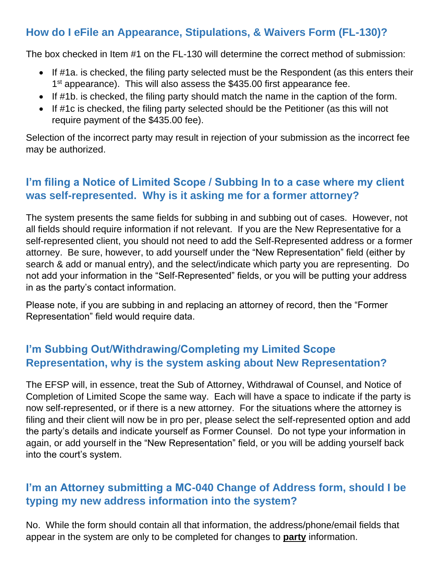# <span id="page-5-0"></span>**How do I eFile an Appearance, Stipulations, & Waivers Form (FL-130)?**

The box checked in Item #1 on the FL-130 will determine the correct method of submission:

- If #1a. is checked, the filing party selected must be the Respondent (as this enters their 1<sup>st</sup> appearance). This will also assess the \$435.00 first appearance fee.
- If #1b. is checked, the filing party should match the name in the caption of the form.
- If #1c is checked, the filing party selected should be the Petitioner (as this will not require payment of the \$435.00 fee).

Selection of the incorrect party may result in rejection of your submission as the incorrect fee may be authorized.

### <span id="page-5-1"></span>**I'm filing a Notice of Limited Scope / Subbing In to a case where my client was self-represented. Why is it asking me for a former attorney?**

The system presents the same fields for subbing in and subbing out of cases. However, not all fields should require information if not relevant. If you are the New Representative for a self-represented client, you should not need to add the Self-Represented address or a former attorney. Be sure, however, to add yourself under the "New Representation" field (either by search & add or manual entry), and the select/indicate which party you are representing. Do not add your information in the "Self-Represented" fields, or you will be putting your address in as the party's contact information.

Please note, if you are subbing in and replacing an attorney of record, then the "Former Representation" field would require data.

### <span id="page-5-2"></span>**I'm Subbing Out/Withdrawing/Completing my Limited Scope Representation, why is the system asking about New Representation?**

The EFSP will, in essence, treat the Sub of Attorney, Withdrawal of Counsel, and Notice of Completion of Limited Scope the same way. Each will have a space to indicate if the party is now self-represented, or if there is a new attorney. For the situations where the attorney is filing and their client will now be in pro per, please select the self-represented option and add the party's details and indicate yourself as Former Counsel. Do not type your information in again, or add yourself in the "New Representation" field, or you will be adding yourself back into the court's system.

### <span id="page-5-3"></span>**I'm an Attorney submitting a MC-040 Change of Address form, should I be typing my new address information into the system?**

No. While the form should contain all that information, the address/phone/email fields that appear in the system are only to be completed for changes to **party** information.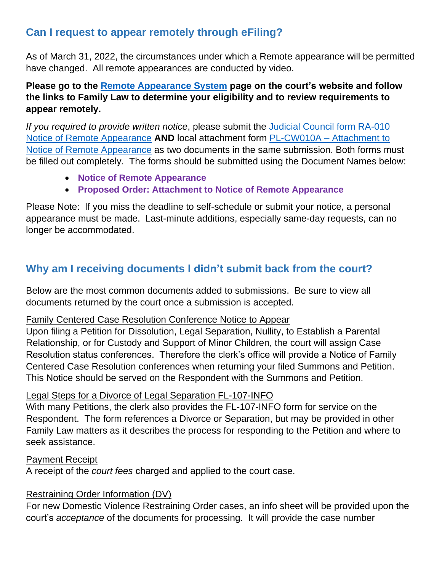### <span id="page-6-0"></span>**Can I request to appear remotely through eFiling?**

As of March 31, 2022, the circumstances under which a Remote appearance will be permitted have changed. All remote appearances are conducted by video.

#### **Please go to the [Remote Appearance System](http://www.placer.courts.ca.gov/RAS.shtml) page on the court's website and follow the links to Family Law to determine your eligibility and to review requirements to appear remotely.**

*If you required to provide written notice*, please submit the [Judicial Council form RA-010](https://www.courts.ca.gov/documents/ra010.pdf)  [Notice of Remote Appearance](https://www.courts.ca.gov/documents/ra010.pdf) **AND** local attachment form PL-CW010A – [Attachment to](http://www.placer.courts.ca.gov/forms/multi/PL-CW010A%20-%20Attachment%20to%20Notice%20of%20Remote%20Appearance_Eff.%20March%2031,%202022%20(Final).pdf)  [Notice of Remote Appearance](http://www.placer.courts.ca.gov/forms/multi/PL-CW010A%20-%20Attachment%20to%20Notice%20of%20Remote%20Appearance_Eff.%20March%2031,%202022%20(Final).pdf) as two documents in the same submission. Both forms must be filled out completely. The forms should be submitted using the Document Names below:

- **Notice of Remote Appearance**
- **Proposed Order: Attachment to Notice of Remote Appearance**

Please Note: If you miss the deadline to self-schedule or submit your notice, a personal appearance must be made. Last-minute additions, especially same-day requests, can no longer be accommodated.

# <span id="page-6-1"></span>**Why am I receiving documents I didn't submit back from the court?**

Below are the most common documents added to submissions. Be sure to view all documents returned by the court once a submission is accepted.

#### Family Centered Case Resolution Conference Notice to Appear

Upon filing a Petition for Dissolution, Legal Separation, Nullity, to Establish a Parental Relationship, or for Custody and Support of Minor Children, the court will assign Case Resolution status conferences. Therefore the clerk's office will provide a Notice of Family Centered Case Resolution conferences when returning your filed Summons and Petition. This Notice should be served on the Respondent with the Summons and Petition.

#### Legal Steps for a Divorce of Legal Separation FL-107-INFO

With many Petitions, the clerk also provides the FL-107-INFO form for service on the Respondent. The form references a Divorce or Separation, but may be provided in other Family Law matters as it describes the process for responding to the Petition and where to seek assistance.

#### Payment Receipt

A receipt of the *court fees* charged and applied to the court case.

#### Restraining Order Information (DV)

For new Domestic Violence Restraining Order cases, an info sheet will be provided upon the court's *acceptance* of the documents for processing. It will provide the case number